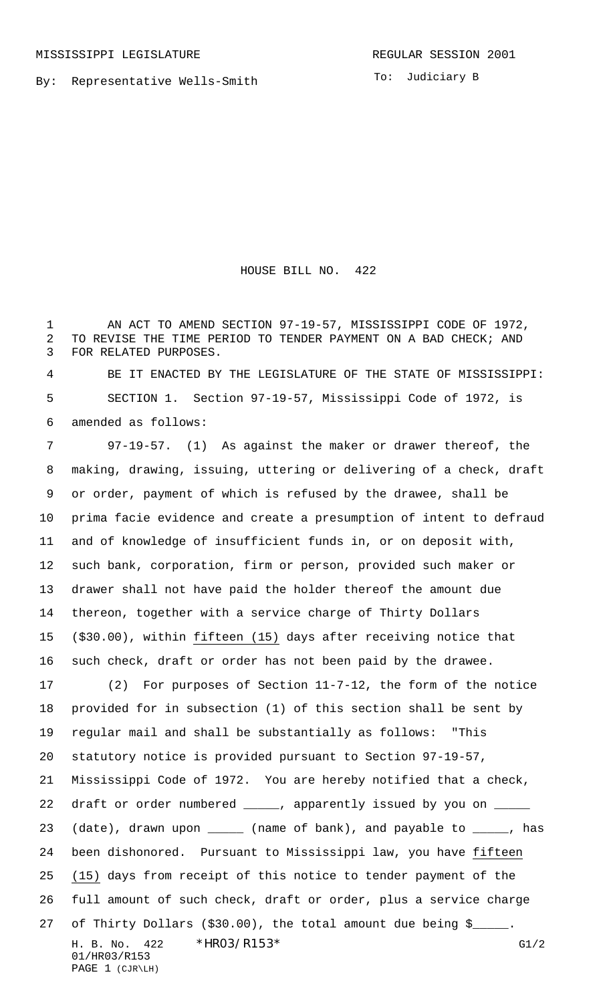By: Representative Wells-Smith

HOUSE BILL NO. 422

1 AN ACT TO AMEND SECTION 97-19-57, MISSISSIPPI CODE OF 1972, TO REVISE THE TIME PERIOD TO TENDER PAYMENT ON A BAD CHECK; AND FOR RELATED PURPOSES.

 BE IT ENACTED BY THE LEGISLATURE OF THE STATE OF MISSISSIPPI: SECTION 1. Section 97-19-57, Mississippi Code of 1972, is amended as follows:

H. B. No. \*  $HR03/R153*$  G1/2 01/HR03/R153 PAGE 1 (CJR\LH) 97-19-57. (1) As against the maker or drawer thereof, the making, drawing, issuing, uttering or delivering of a check, draft or order, payment of which is refused by the drawee, shall be prima facie evidence and create a presumption of intent to defraud and of knowledge of insufficient funds in, or on deposit with, such bank, corporation, firm or person, provided such maker or drawer shall not have paid the holder thereof the amount due thereon, together with a service charge of Thirty Dollars (\$30.00), within fifteen (15) days after receiving notice that such check, draft or order has not been paid by the drawee. (2) For purposes of Section 11-7-12, the form of the notice provided for in subsection (1) of this section shall be sent by regular mail and shall be substantially as follows: "This statutory notice is provided pursuant to Section 97-19-57, Mississippi Code of 1972. You are hereby notified that a check, 22 draft or order numbered \_\_\_\_\_, apparently issued by you on \_ 23 (date), drawn upon \_\_\_\_\_ (name of bank), and payable to \_\_\_\_\_, has been dishonored. Pursuant to Mississippi law, you have fifteen (15) days from receipt of this notice to tender payment of the full amount of such check, draft or order, plus a service charge 27 of Thirty Dollars (\$30.00), the total amount due being \$